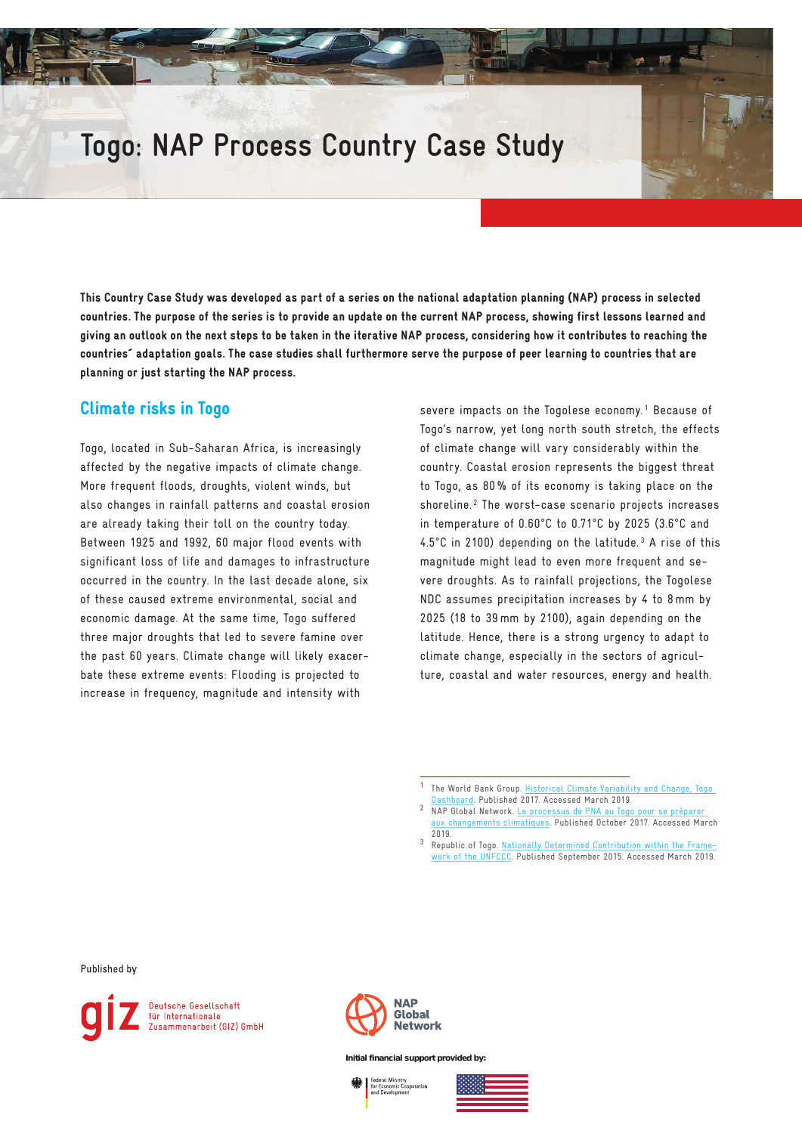# **Togo: NAP Process Country Case Study**

This Country Case Study was developed as part of a series on the national adaptation planning (NAP) process in selected countries. The purpose of the series is to provide an update on the current NAP process, showing first lessons learned and giving an outlook on the next steps to be taken in the iterative NAP process, considering how it contributes to reaching the countries´ adaptation goals. The case studies shall furthermore serve the purpose of peer learning to countries that are planning or just starting the NAP process.

### Climate risks in Togo

Togo, located in Sub-Saharan Africa, is increasingly affected by the negative impacts of climate change. More frequent floods, droughts, violent winds, but also changes in rainfall patterns and coastal erosion are already taking their toll on the country today. Between 1925 and 1992, 60 major flood events with significant loss of life and damages to infrastructure occurred in the country. In the last decade alone, six of these caused extreme environmental, social and economic damage. At the same time, Togo suffered three major droughts that led to severe famine over the past 60 years. Climate change will likely exacerbate these extreme events: Flooding is projected to increase in frequency, magnitude and intensity with

severe impacts on the Togolese economy.<sup>1</sup> Because of Togo's narrow, yet long north south stretch, the effects of climate change will vary considerably within the country. Coastal erosion represents the biggest threat to Togo, as 80% of its economy is taking place on the shoreline.<sup>2</sup> The worst-case scenario projects increases in temperature of 0.60°C to 0.71°C by 2025 (3.6°C and 4.5°C in 2100) depending on the latitude.<sup>3</sup> A rise of this magnitude might lead to even more frequent and severe droughts. As to rainfall projections, the Togolese NDC assumes precipitation increases by 4 to 8mm by 2025 (18 to 39mm by 2100), again depending on the latitude. Hence, there is a strong urgency to adapt to climate change, especially in the sectors of agriculture, coastal and water resources, energy and health.

Published by





**Initial financial support provided by:** 

**Federal Ministry<br>for Economic Cooperation** 



The World Bank Group. <u>Historical Climate Variability and Change, Togo</u><br>Dashboard. Published 2017. Accessed March 2019.

NAP Global Network. Le processus de PNA au Togo pour se préparer [aux changements climatiques](http://napglobalnetwork.org/2017/10/video-le-processus-de-lpna-au-togo-pour-se-preparer-aux-changements-climatiques/). Published October 2017. Accessed March

<sup>2019.&</sup>lt;br><sup>3</sup> Republic of Togo. [Nationally Determined Contribution within the Frame](https://www4.unfccc.int/sites/ndcstaging/PublishedDocuments/Togo%20First/INDC%20Togo_english%20version.pdf)[work of the UNFCCC.](https://www4.unfccc.int/sites/ndcstaging/PublishedDocuments/Togo%20First/INDC%20Togo_english%20version.pdf) Published September 2015. Accessed March 2019.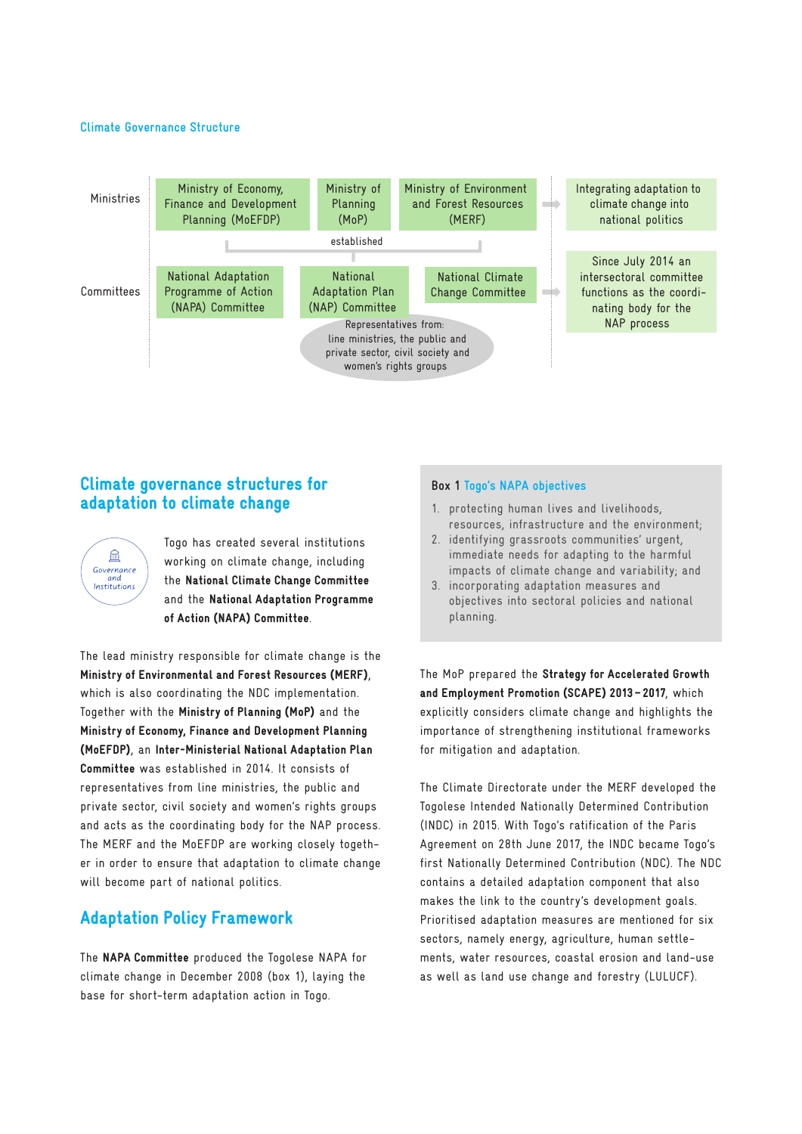#### **Climate Governance Structure**



## Climate governance structures for adaptation to climate change



Togo has created several institutions working on climate change, including the National Climate Change Committee and the National Adaptation Programme of Action (NAPA) Committee.

The lead ministry responsible for climate change is the Ministry of Environmental and Forest Resources (MERF), which is also coordinating the NDC implementation. Together with the Ministry of Planning (MoP) and the Ministry of Economy, Finance and Development Planning (MoEFDP), an Inter-Ministerial National Adaptation Plan Committee was established in 2014. It consists of representatives from line ministries, the public and private sector, civil society and women's rights groups and acts as the coordinating body for the NAP process. The MERF and the MoEFDP are working closely together in order to ensure that adaptation to climate change will become part of national politics.

# Adaptation Policy Framework

The NAPA Committee produced the Togolese NAPA for climate change in December 2008 (box 1), laying the base for short-term adaptation action in Togo.

#### **Box 1 Togo's NAPA objectives**

- 1. protecting human lives and livelihoods, resources, infrastructure and the environment;
- 2. identifying grassroots communities' urgent, immediate needs for adapting to the harmful impacts of climate change and variability; and
- 3. incorporating adaptation measures and objectives into sectoral policies and national planning.

The MoP prepared the Strategy for Accelerated Growth and Employment Promotion (SCAPE) 2013 – 2017, which explicitly considers climate change and highlights the importance of strengthening institutional frameworks for mitigation and adaptation.

The Climate Directorate under the MERF developed the Togolese Intended Nationally Determined Contribution (INDC) in 2015. With Togo's ratification of the Paris Agreement on 28th June 2017, the INDC became Togo's first Nationally Determined Contribution (NDC). The NDC contains a detailed adaptation component that also makes the link to the country's development goals. Prioritised adaptation measures are mentioned for six sectors, namely energy, agriculture, human settlements, water resources, coastal erosion and land-use as well as land use change and forestry (LULUCF).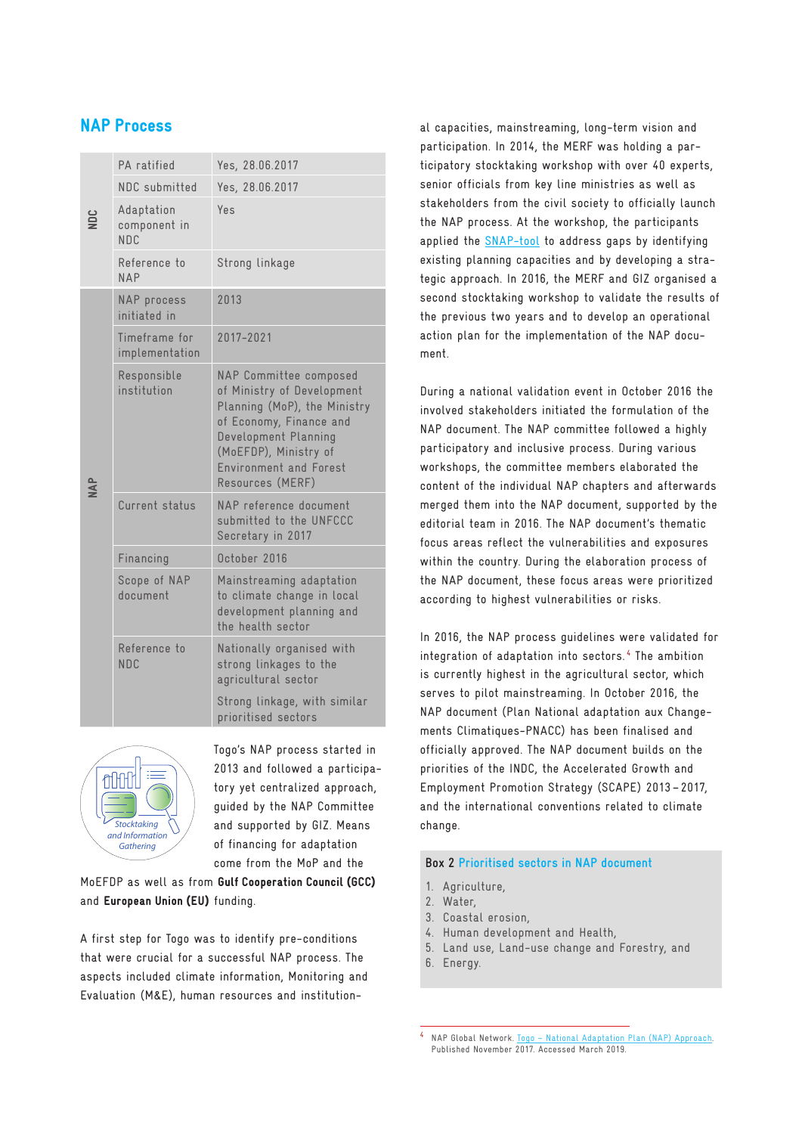# NAP Process

| ğ | PA ratified                                   | Yes, 28.06.2017                                                                                                                                                                                                       |
|---|-----------------------------------------------|-----------------------------------------------------------------------------------------------------------------------------------------------------------------------------------------------------------------------|
|   | NDC submitted                                 | Yes, 28.06.2017                                                                                                                                                                                                       |
|   | Adaptation<br>component in<br>N <sub>DC</sub> | Yes                                                                                                                                                                                                                   |
|   | Reference to<br>NAP                           | Strong linkage                                                                                                                                                                                                        |
| ₹ | NAP process<br>initiated in                   | 2013                                                                                                                                                                                                                  |
|   | Timeframe for<br>implementation               | 2017-2021                                                                                                                                                                                                             |
|   | Responsible<br>institution                    | NAP Committee composed<br>of Ministry of Development<br>Planning (MoP), the Ministry<br>of Economy, Finance and<br>Development Planning<br>(MoEFDP), Ministry of<br><b>Environment and Forest</b><br>Resources (MERF) |
|   | Current status                                | NAP reference document<br>submitted to the UNFCCC<br>Secretary in 2017                                                                                                                                                |
|   | Financing                                     | October 2016                                                                                                                                                                                                          |
|   | Scope of NAP<br>document                      | Mainstreaming adaptation<br>to climate change in local<br>development planning and<br>the health sector                                                                                                               |
|   | Reference to<br><b>NDC</b>                    | Nationally organised with<br>strong linkages to the<br>agricultural sector                                                                                                                                            |
|   |                                               | Strong linkage, with similar<br>prioritised sectors                                                                                                                                                                   |



Togo's NAP process started in 2013 and followed a participatory yet centralized approach, guided by the NAP Committee and supported by GIZ. Means of financing for adaptation come from the MoP and the

MoEFDP as well as from Gulf Cooperation Council (GCC) and European Union (EU) funding.

A first step for Togo was to identify pre-conditions that were crucial for a successful NAP process. The aspects included climate information, Monitoring and Evaluation (M&E), human resources and institutional capacities, mainstreaming, long-term vision and participation. In 2014, the MERF was holding a participatory stocktaking workshop with over 40 experts, senior officials from key line ministries as well as stakeholders from the civil society to officially launch the NAP process. At the workshop, the participants applied the [SNAP-tool](http://www.adaptationcommunity.net/ndc_adaption_toolbox/stocktaking-national-adaptation-planning-snap-tool) to address gaps by identifying existing planning capacities and by developing a strategic approach. In 2016, the MERF and GIZ organised a second stocktaking workshop to validate the results of the previous two years and to develop an operational action plan for the implementation of the NAP document.

During a national validation event in October 2016 the involved stakeholders initiated the formulation of the NAP document. The NAP committee followed a highly participatory and inclusive process. During various workshops, the committee members elaborated the content of the individual NAP chapters and afterwards merged them into the NAP document, supported by the editorial team in 2016. The NAP document's thematic focus areas reflect the vulnerabilities and exposures within the country. During the elaboration process of the NAP document, these focus areas were prioritized according to highest vulnerabilities or risks.

In 2016, the NAP process guidelines were validated for integration of adaptation into sectors. <sup>4</sup> The ambition is currently highest in the agricultural sector, which serves to pilot mainstreaming. In October 2016, the NAP document (Plan National adaptation aux Changements Climatiques-PNACC) has been finalised and officially approved. The NAP document builds on the priorities of the INDC, the Accelerated Growth and Employment Promotion Strategy (SCAPE) 2013 – 2017, and the international conventions related to climate change.

#### **Box 2 Prioritised sectors in NAP document**

- 1. Agriculture,
- 2. Water,
- 3. Coastal erosion,
- 4. Human development and Health,
- 5. Land use, Land-use change and Forestry, and
- 6. Energy.

NAP Global Network. Togo - National Adaptation Plan (NAP) Approach. Published November 2017. Accessed March 2019.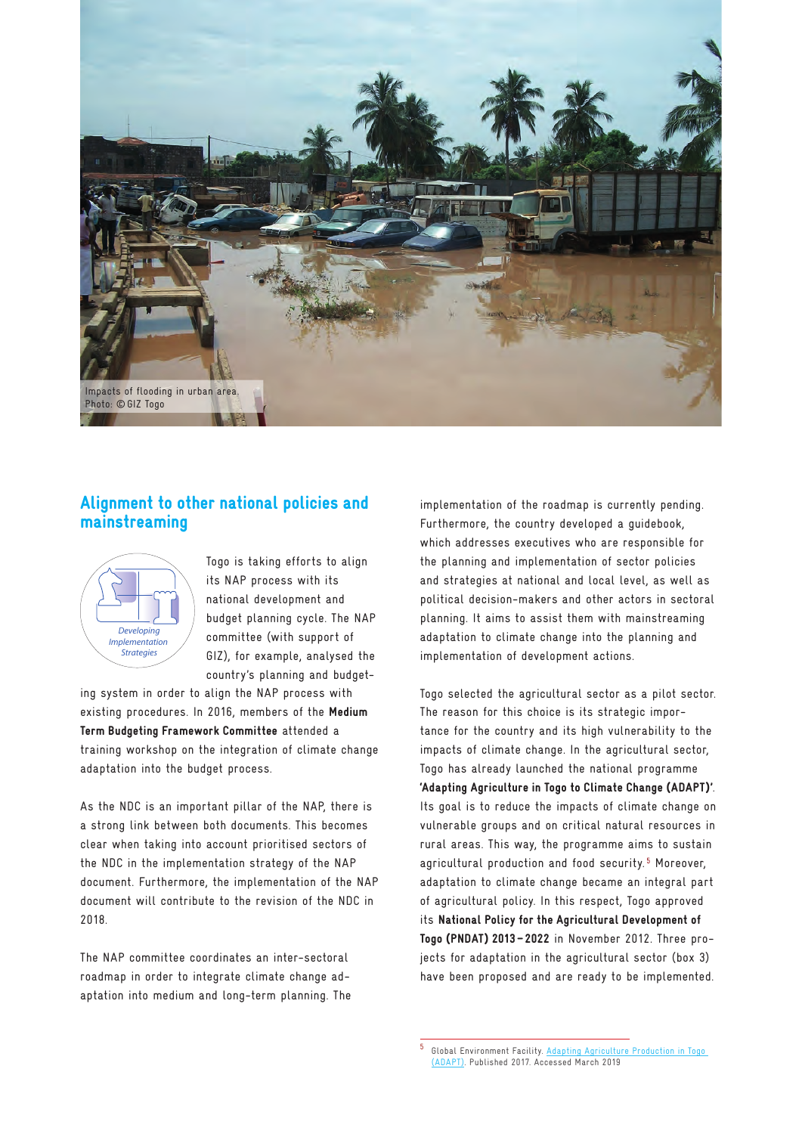

## Alignment to other national policies and mainstreaming



Togo is taking efforts to align its NAP process with its national development and budget planning cycle. The NAP committee (with support of GIZ), for example, analysed the country's planning and budget-

ing system in order to align the NAP process with existing procedures. In 2016, members of the Medium Term Budgeting Framework Committee attended a training workshop on the integration of climate change adaptation into the budget process.

As the NDC is an important pillar of the NAP, there is a strong link between both documents. This becomes clear when taking into account prioritised sectors of the NDC in the implementation strategy of the NAP document. Furthermore, the implementation of the NAP document will contribute to the revision of the NDC in 2018.

The NAP committee coordinates an inter-sectoral roadmap in order to integrate climate change adaptation into medium and long-term planning. The implementation of the roadmap is currently pending. Furthermore, the country developed a guidebook, which addresses executives who are responsible for the planning and implementation of sector policies and strategies at national and local level, as well as political decision-makers and other actors in sectoral planning. It aims to assist them with mainstreaming adaptation to climate change into the planning and implementation of development actions.

Togo selected the agricultural sector as a pilot sector. The reason for this choice is its strategic importance for the country and its high vulnerability to the impacts of climate change. In the agricultural sector, Togo has already launched the national programme 'Adapting Agriculture in Togo to Climate Change (ADAPT)'. Its goal is to reduce the impacts of climate change on vulnerable groups and on critical natural resources in rural areas. This way, the programme aims to sustain agricultural production and food security.<sup>5</sup> Moreover, adaptation to climate change became an integral part of agricultural policy. In this respect, Togo approved its National Policy for the Agricultural Development of Togo (PNDAT) 2013 – 2022 in November 2012. Three projects for adaptation in the agricultural sector (box 3) have been proposed and are ready to be implemented.

<sup>5</sup> Global Environment Facility. [Adapting Agriculture Production in Togo](https://www.thegef.org/project/adapting-agriculture-production-togo-adapt)  [\(ADAPT\).](https://www.thegef.org/project/adapting-agriculture-production-togo-adapt) Published 2017. Accessed March 2019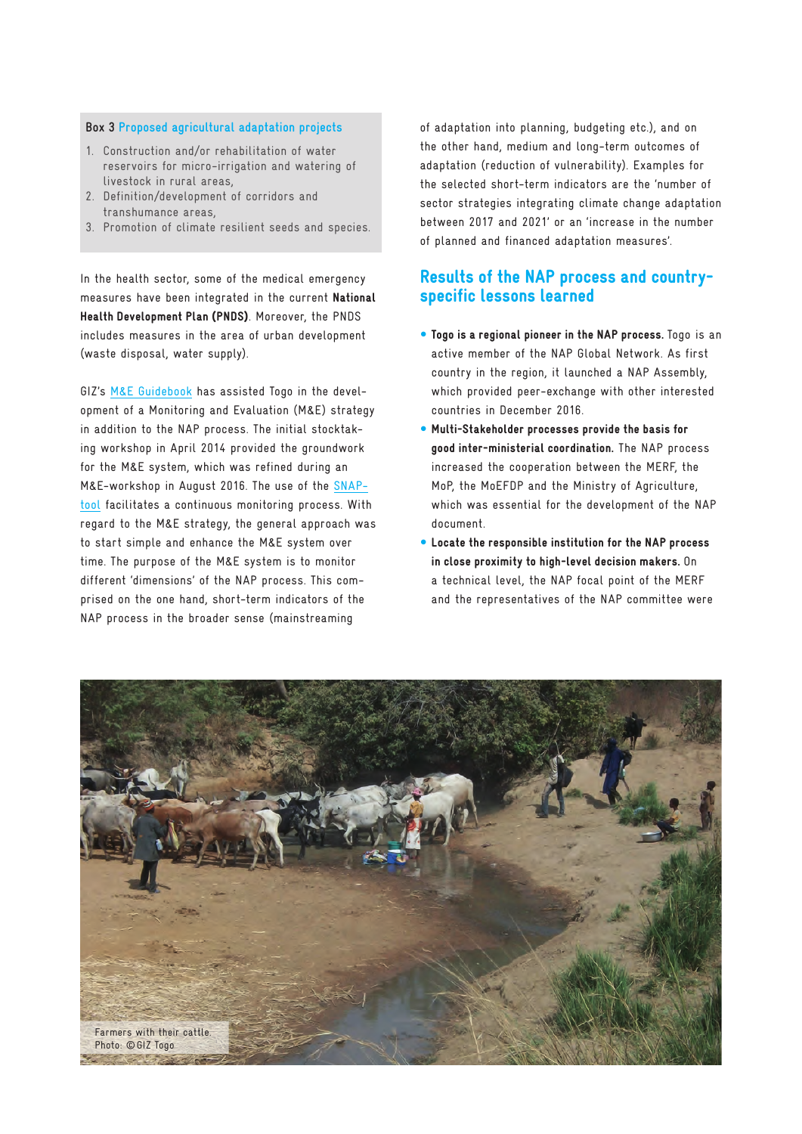#### **Box 3 Proposed agricultural adaptation projects**

- 1. Construction and/or rehabilitation of water reservoirs for micro-irrigation and watering of livestock in rural areas,
- 2. Definition/development of corridors and transhumance areas,
- 3. Promotion of climate resilient seeds and species.

In the health sector, some of the medical emergency measures have been integrated in the current National Health Development Plan (PNDS). Moreover, the PNDS includes measures in the area of urban development (waste disposal, water supply).

GIZ's [M&E Guidebook](http://www.adaptationcommunity.net/ndc_adaption_toolbox/developing-national-adaptation-monitoring-evaluation-systems-guidebook/) has assisted Togo in the development of a Monitoring and Evaluation (M&E) strategy in addition to the NAP process. The initial stocktaking workshop in April 2014 provided the groundwork for the M&E system, which was refined during an M&E-workshop in August 2016. The use of the [SNAP](http://www.adaptationcommunity.net/ndc_adaption_toolbox/stocktaking-national-adaptation-planning-snap-tool/)[tool](http://www.adaptationcommunity.net/ndc_adaption_toolbox/stocktaking-national-adaptation-planning-snap-tool/) facilitates a continuous monitoring process. With regard to the M&E strategy, the general approach was to start simple and enhance the M&E system over time. The purpose of the M&E system is to monitor different 'dimensions' of the NAP process. This comprised on the one hand, short-term indicators of the NAP process in the broader sense (mainstreaming

of adaptation into planning, budgeting etc.), and on the other hand, medium and long-term outcomes of adaptation (reduction of vulnerability). Examples for the selected short-term indicators are the 'number of sector strategies integrating climate change adaptation between 2017 and 2021' or an 'increase in the number of planned and financed adaptation measures'.

## Results of the NAP process and countryspecific lessons learned

- Togo is a regional pioneer in the NAP process. Togo is an active member of the NAP Global Network. As first country in the region, it launched a NAP Assembly, which provided peer-exchange with other interested countries in December 2016.
- Multi-Stakeholder processes provide the basis for good inter-ministerial coordination. The NAP process increased the cooperation between the MERF, the MoP, the MoEFDP and the Ministry of Agriculture, which was essential for the development of the NAP document.
- Locate the responsible institution for the NAP process in close proximity to high-level decision makers. On a technical level, the NAP focal point of the MERF and the representatives of the NAP committee were